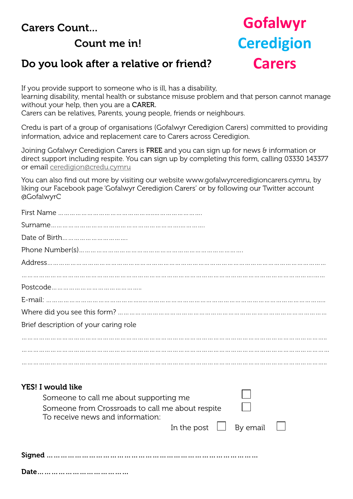### Carers Count...

## Count me in!

# **Gofalwyr Ceredigion Carers**

### Do you look after a relative or friend?

If you provide support to someone who is ill, has a disability,

learning disability, mental health or substance misuse problem and that person cannot manage without your help, then you are a CARER.

Carers can be relatives, Parents, young people, friends or neighbours.

Credu is part of a group of organisations (Gofalwyr Ceredigion Carers) committed to providing information, advice and replacement care to Carers across Ceredigion.

Joining Gofalwyr Ceredigion Carers is FREE and you can sign up for news & information or direct support including respite. You can sign up by completing this form, calling 03330 143377 or email [ceredigion@credu.cymru](mailto:ceredigion@credu.cymru)

You can also find out more by visiting our website [www.gofalwyrceredigioncarers.cymru](http://www.credu.cymru), by liking our Facebook page 'Gofalwyr Ceredigion Carers' or by following our Twitter account @GofalwyrC

| Brief description of your caring role            |
|--------------------------------------------------|
|                                                  |
|                                                  |
|                                                  |
|                                                  |
| <b>YES! I would like</b>                         |
| Someone to call me about supporting me           |
| Someone from Crossroads to call me about respite |
| To receive news and information:                 |
| By email<br>In the post                          |
|                                                  |
|                                                  |
|                                                  |